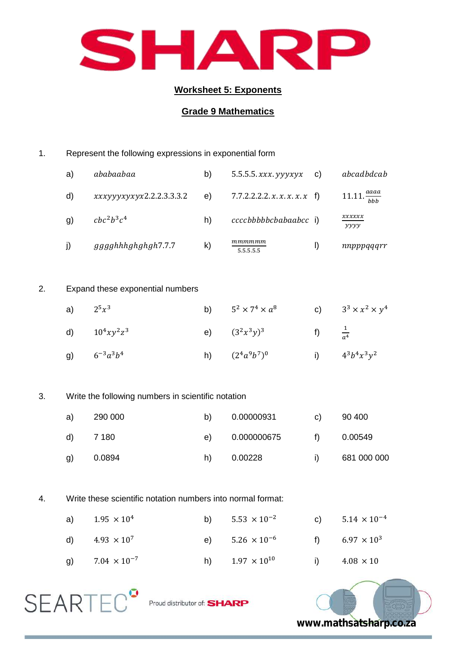

## **Worksheet 5: Exponents**

## **Grade 9 Mathematics**

1. Represent the following expressions in exponential form

| a)           | ababaabaa                | b) | 5.5.5.5. <i>xxx</i> . $\gamma \gamma \gamma \gamma x$ c) |   | abcadbdcab                              |
|--------------|--------------------------|----|----------------------------------------------------------|---|-----------------------------------------|
| $\mathsf{d}$ | xxxyyyxyxyx2.2.2.3.3.3.2 | e) | 7.7.2.2.2.2. $x. x. x. x. x.$ f)                         |   | 11.11. $\frac{aaaa}{bbb}$               |
| - g)         | $chc^2h^3c^4$            | h) | ccccbbbbbcbabaabcc i)                                    |   | xxxxxx<br>$\gamma \gamma \gamma \gamma$ |
| j)           | gggghhhghghgh7.7.7       | k) | mmmmmmm<br>5.5.5.5.5                                     | Ð | nnpppgggrr                              |

## 2. Expand these exponential numbers

| a) $2^5x^3$        | b) $5^2 \times 7^4 \times a^8$ | c) $3^3 \times x^2 \times y^4$ |
|--------------------|--------------------------------|--------------------------------|
| d) $10^4 xy^2 z^3$ | e) $(3^2x^3y)^3$               | f) $\frac{1}{a^4}$             |
| g) $6^{-3}a^3b^4$  | h) $(2^4a^9b^7)^0$             | i) $4^3b^4x^3y^2$              |

3. Write the following numbers in scientific notation

| a) | 290 000 | b) | 0.00000931  | C) | 90 400      |
|----|---------|----|-------------|----|-------------|
| d) | 7 180   | e) | 0.000000675 | t) | 0.00549     |
| g) | 0.0894  | h) | 0.00228     |    | 681 000 000 |

## 4. Write these scientific notation numbers into normal format:

| a) $1.95 \times 10^4$    | b) $5.53 \times 10^{-2}$                         | c) $5.14 \times 10^{-4}$ |
|--------------------------|--------------------------------------------------|--------------------------|
| d) $4.93 \times 10^7$    | e) $5.26 \times 10^{-6}$ f) $6.97 \times 10^{3}$ |                          |
| g) $7.04 \times 10^{-7}$ | h) $1.97 \times 10^{10}$ i) $4.08 \times 10$     |                          |





Proud distributor of: **SHARP**